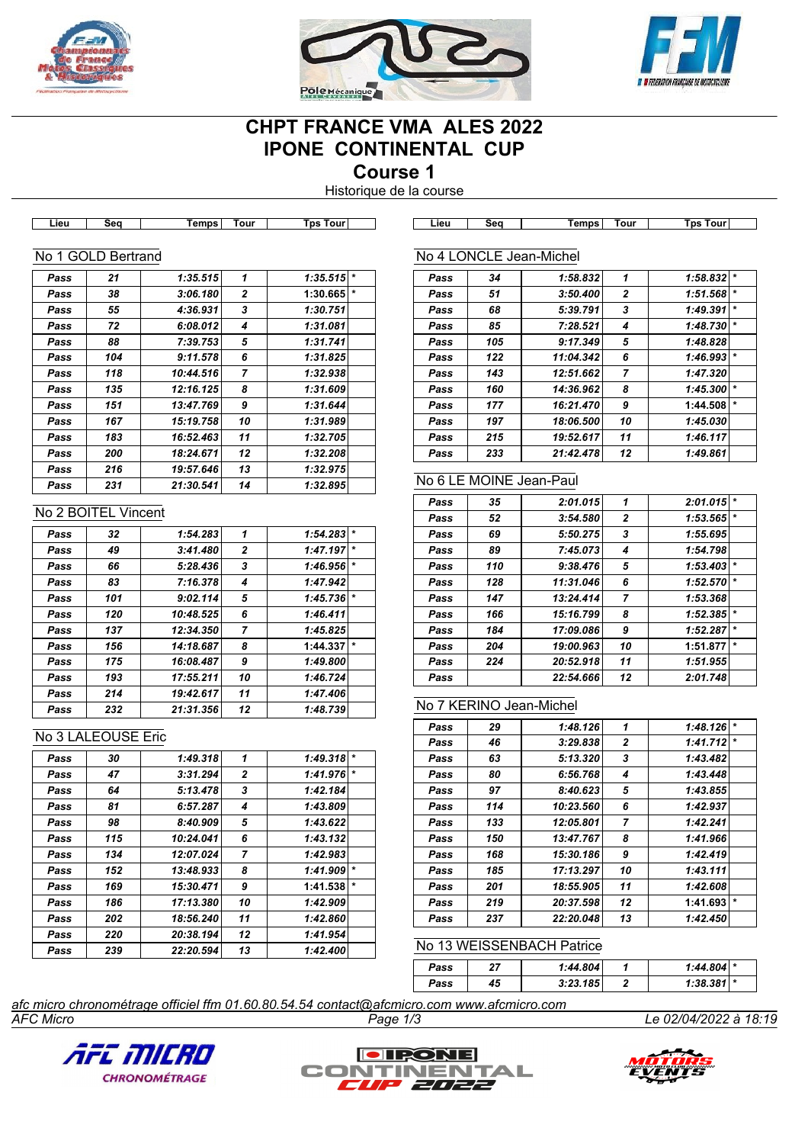





# **CHPT FRANCE VMA ALES 2022 IPONE CONTINENTAL CUP**

**Course 1**

Historique de la course

| Lieu | Seq                 | <b>Temps</b> | Tour                     | <b>Tps Tour</b>                                                                           | Lieu | Seq                     | <b>Temps</b>              | Tour             | <b>Tps Tour</b> |
|------|---------------------|--------------|--------------------------|-------------------------------------------------------------------------------------------|------|-------------------------|---------------------------|------------------|-----------------|
|      | No 1 GOLD Bertrand  |              |                          |                                                                                           |      | No 4 LONCLE Jean-Michel |                           |                  |                 |
| Pass | 21                  | 1:35.515     | 1                        | $1:35.515$ *                                                                              | Pass | 34                      | 1:58.832                  | 1                | 1:58.832        |
| Pass | 38                  | 3:06.180     | 2                        | 1:30.665                                                                                  | Pass | 51                      | 3:50.400                  | 2                | 1:51.568        |
| Pass | 55                  | 4:36.931     | 3                        | 1:30.751                                                                                  | Pass | 68                      | 5:39.791                  | 3                | 1:49.391        |
| Pass | 72                  | 6:08.012     | 4                        | 1:31.081                                                                                  | Pass | 85                      | 7:28.521                  | 4                | 1:48.730        |
| Pass | 88                  | 7:39.753     | 5                        | 1:31.741                                                                                  | Pass | 105                     | 9:17.349                  | 5                | 1:48.828        |
| Pass | 104                 | 9:11.578     | 6                        | 1:31.825                                                                                  | Pass | 122                     | 11:04.342                 | 6                | 1:46.993        |
| Pass | 118                 | 10:44.516    | $\overline{\phantom{a}}$ | 1:32.938                                                                                  | Pass | 143                     | 12:51.662                 | 7                | 1:47.320        |
| Pass | 135                 | 12:16.125    | 8                        | 1:31.609                                                                                  | Pass | 160                     | 14:36.962                 | 8                | 1:45.300        |
| Pass | 151                 | 13:47.769    | 9                        | 1:31.644                                                                                  | Pass | 177                     | 16:21.470                 | 9                | 1:44.508        |
| Pass | 167                 | 15:19.758    | 10                       | 1:31.989                                                                                  | Pass | 197                     | 18:06.500                 | 10               | 1:45.030        |
| Pass | 183                 | 16:52.463    | 11                       | 1:32.705                                                                                  | Pass | 215                     | 19:52.617                 | 11               | 1:46.117        |
| Pass | 200                 | 18:24.671    | 12                       | 1:32.208                                                                                  | Pass | 233                     | 21:42.478                 | 12               | 1:49.861        |
| Pass | 216                 | 19:57.646    | 13                       | 1:32.975                                                                                  |      |                         |                           |                  |                 |
| Pass | 231                 | 21:30.541    | 14                       | 1:32.895                                                                                  |      | No 6 LE MOINE Jean-Paul |                           |                  |                 |
|      | No 2 BOITEL Vincent |              |                          |                                                                                           | Pass | 35                      | 2:01.015                  | 1                | 2:01.015        |
|      |                     |              |                          |                                                                                           | Pass | 52                      | 3:54.580                  | 2                | 1:53.565        |
| Pass | 32                  | 1:54.283     | 1                        | $1:54.283$ *                                                                              | Pass | 69                      | 5:50.275                  | 3                | 1:55.695        |
| Pass | 49                  | 3:41.480     | $\mathbf{2}$             | 1:47.197                                                                                  | Pass | 89                      | 7:45.073                  | 4                | 1:54.798        |
| Pass | 66                  | 5:28.436     | 3                        | $1:46.956$ *                                                                              | Pass | 110                     | 9:38.476                  | 5                | 1:53.403        |
| Pass | 83                  | 7:16.378     | 4                        | 1:47.942                                                                                  | Pass | 128                     | 11:31.046                 | 6                | 1:52.570        |
| Pass | 101                 | 9:02.114     | 5                        | $1:45.736$ *                                                                              | Pass | 147                     | 13:24.414                 | 7                | 1:53.368        |
| Pass | 120                 | 10:48.525    | 6                        | 1:46.411                                                                                  | Pass | 166                     | 15:16.799                 | 8                | 1:52.385        |
| Pass | 137                 | 12:34.350    | 7                        | 1:45.825                                                                                  | Pass | 184                     | 17:09.086                 | 9                | 1:52.287        |
| Pass | 156                 | 14:18.687    | 8                        | $1:44.337$ *                                                                              | Pass | 204                     | 19:00.963                 | 10               | 1:51.877        |
| Pass | 175                 | 16:08.487    | 9                        | 1:49.800                                                                                  | Pass | 224                     | 20:52.918                 | 11               | 1:51.955        |
| Pass | 193                 | 17:55.211    | 10                       | 1:46.724                                                                                  | Pass |                         | 22:54.666                 | 12               | 2:01.748        |
| Pass | 214                 | 19:42.617    | 11                       | 1:47.406                                                                                  |      | No 7 KERINO Jean-Michel |                           |                  |                 |
| Pass | 232                 | 21:31.356    | 12                       | 1:48.739                                                                                  |      |                         |                           |                  |                 |
|      | No 3 LALEOUSE Eric  |              |                          |                                                                                           | Pass | 29                      | 1:48.126                  | 1                | 1:48.126        |
|      |                     |              |                          |                                                                                           | Pass | 46                      | 3:29.838                  | $\boldsymbol{2}$ | 1:41.712        |
| Pass | 30                  | 1:49.318     | 1                        | $1:49.318$ *                                                                              | Pass | 63                      | 5:13.320                  | 3                | 1:43.482        |
| Pass | 47                  | 3:31.294     | $\boldsymbol{2}$         | 1:41.976                                                                                  | Pass | 80                      | 6:56.768                  | 4                | 1:43.448        |
| Pass | 64                  | 5:13.478     | 3                        | 1:42.184                                                                                  | Pass | 97                      | 8:40.623                  | 5                | 1:43.855        |
| Pass | 81                  | 6:57.287     | 4                        | 1:43.809                                                                                  | Pass | 114                     | 10:23.560                 | 6                | 1:42.937        |
| Pass | 98                  | 8:40.909     | 5                        | 1:43.622                                                                                  | Pass | 133                     | 12:05.801                 | 7                | 1:42.241        |
| Pass | 115                 | 10:24.041    | 6                        | 1:43.132                                                                                  | Pass | 150                     | 13:47.767                 | 8                | 1:41.966        |
| Pass | 134                 | 12:07.024    | 7                        | 1:42.983                                                                                  | Pass | 168                     | 15:30.186                 | 9                | 1:42.419        |
| Pass | 152                 | 13:48.933    | 8                        | $1:41.909$ *                                                                              | Pass | 185                     | 17:13.297                 | 10               | 1:43.111        |
| Pass | 169                 | 15:30.471    | 9                        | $1:41.538$ *                                                                              | Pass | 201                     | 18:55.905                 | 11               | 1:42.608        |
| Pass | 186                 | 17:13.380    | 10                       | 1:42.909                                                                                  | Pass | 219                     | 20:37.598                 | 12               | 1:41.693        |
| Pass | 202                 | 18:56.240    | 11                       | 1:42.860                                                                                  | Pass | 237                     | 22:20.048                 | 13               | 1:42.450        |
| Pass | 220                 | 20:38.194    | 12                       | 1:41.954                                                                                  |      |                         | No 13 WEISSENBACH Patrice |                  |                 |
| Pass | 239                 | 22:20.594    | 13                       | 1:42.400                                                                                  |      |                         |                           |                  |                 |
|      |                     |              |                          |                                                                                           | Pass | 27                      | 1:44.804                  | 1                | 1:44.804        |
|      |                     |              |                          |                                                                                           | Pass | 45                      | 3:23.185                  | 2                | 1:38.381        |
|      |                     |              |                          | afc micro chronométrage officiel ffm 01.60.80.54.54 contact@afcmicro.com www.afcmicro.com |      |                         |                           |                  |                 |





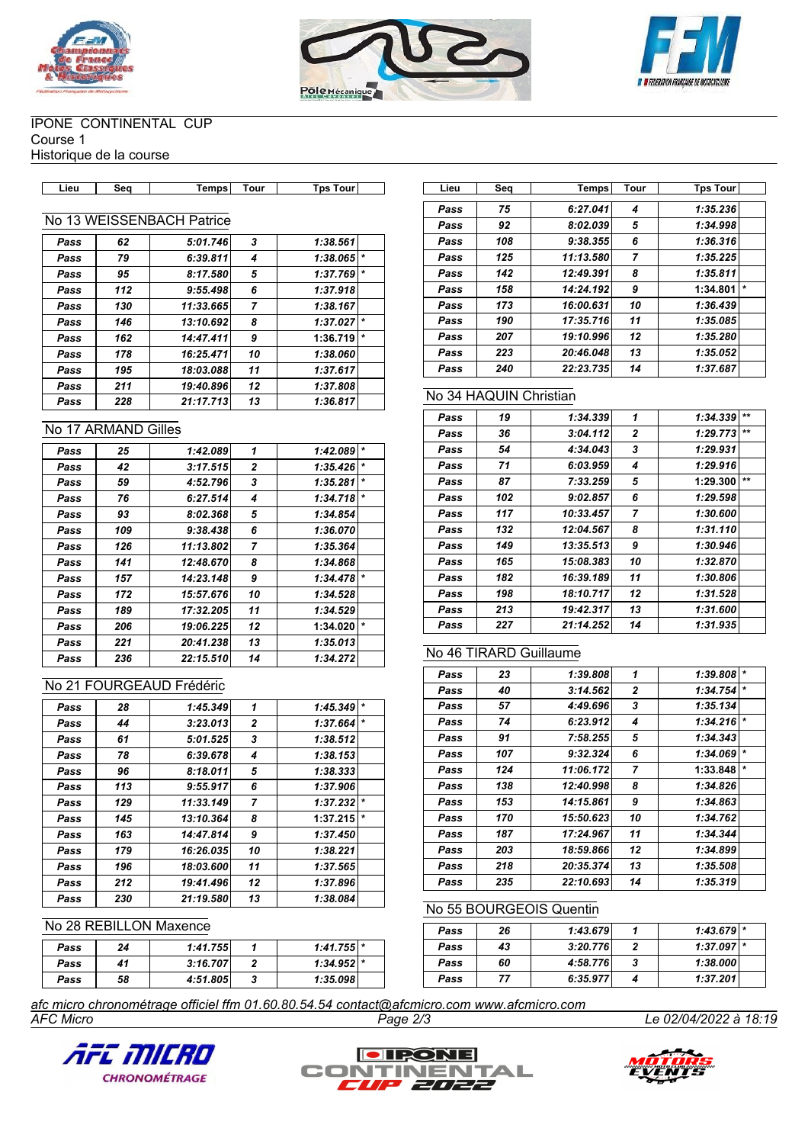





#### IPONE CONTINENTAL CUP Course 1

Historique de la course

| Tour<br><b>Temps</b><br>Tour<br>Гps<br><b>T</b> DS<br>ີ<br>∟ieư<br>ww |
|-----------------------------------------------------------------------|
|-----------------------------------------------------------------------|

### No 13 WEISSENBACH Patrice

| Pass | 62  | 5:01.746  | 3  | 1:38.561 |         |
|------|-----|-----------|----|----------|---------|
| Pass | 79  | 6:39.811  | 4  | 1:38.065 | $\star$ |
| Pass | 95  | 8:17.580  | 5  | 1:37.769 |         |
| Pass | 112 | 9:55.498  | 6  | 1:37.918 |         |
| Pass | 130 | 11:33.665 | 7  | 1:38.167 |         |
| Pass | 146 | 13:10.692 | 8  | 1:37.027 | $\star$ |
| Pass | 162 | 14:47.411 | 9  | 1:36.719 | $\star$ |
| Pass | 178 | 16:25.471 | 10 | 1:38.060 |         |
| Pass | 195 | 18:03.088 | 11 | 1:37.617 |         |
| Pass | 211 | 19:40.896 | 12 | 1:37.808 |         |
| Pass | 228 | 21:17.713 | 13 | 1:36.817 |         |

#### No 17 ARMAND Gilles

| Pass | 25  | 1:42.089  | 1              | 1:42.089 | $\star$ |
|------|-----|-----------|----------------|----------|---------|
| Pass | 42  | 3:17.515  | $\overline{2}$ | 1:35.426 | $\star$ |
| Pass | 59  | 4:52.796  | 3              | 1:35.281 | $\star$ |
| Pass | 76  | 6:27.514  | 4              | 1:34.718 | $\star$ |
| Pass | 93  | 8:02.368  | 5              | 1:34.854 |         |
| Pass | 109 | 9:38.438  | 6              | 1:36.070 |         |
| Pass | 126 | 11:13.802 | 7              | 1:35.364 |         |
| Pass | 141 | 12:48.670 | 8              | 1:34.868 |         |
| Pass | 157 | 14:23.148 | 9              | 1:34.478 | $\star$ |
| Pass | 172 | 15:57.676 | 10             | 1:34.528 |         |
| Pass | 189 | 17:32.205 | 11             | 1:34.529 |         |
| Pass | 206 | 19:06.225 | 12             | 1:34.020 | $\star$ |
| Pass | 221 | 20:41.238 | 13             | 1:35.013 |         |
| Pass | 236 | 22:15.510 | 14             | 1:34.272 |         |

# No 21 FOURGEAUD Frédéric

| Pass | 28  | 1:45.349  | 1            | $\star$<br>1:45.349 |
|------|-----|-----------|--------------|---------------------|
| Pass | 44  | 3:23.013  | $\mathbf{2}$ | $\star$<br>1:37.664 |
| Pass | 61  | 5:01.525  | 3            | 1:38.512            |
| Pass | 78  | 6:39.678  | 4            | 1:38.153            |
| Pass | 96  | 8:18.011  | 5            | 1:38.333            |
| Pass | 113 | 9:55.917  | 6            | 1:37.906            |
| Pass | 129 | 11:33.149 | 7            | $\star$<br>1:37.232 |
| Pass | 145 | 13:10.364 | 8            | $\star$<br>1:37.215 |
| Pass | 163 | 14:47.814 | 9            | 1:37.450            |
| Pass | 179 | 16:26.035 | 10           | 1:38.221            |
| Pass | 196 | 18:03.600 | 11           | 1:37.565            |
| Pass | 212 | 19:41.496 | 12           | 1:37.896            |
| Pass | 230 | 21:19.580 | 13           | 1:38.084            |

#### No 28 REBILLON Maxence

| Pass | 24 | 1:41.755 | $1:41.755$ * |  |
|------|----|----------|--------------|--|
| Pass | 41 | 3:16.707 | $1:34.952$ * |  |
| Pass | 58 | 4:51.805 | 1:35.098     |  |

| Lieu | Seg | Temps     | Tour           | <b>Tps Tour</b>     |  |
|------|-----|-----------|----------------|---------------------|--|
| Pass | 75  | 6:27.041  | 4              | 1:35.236            |  |
| Pass | 92  | 8:02.039  | 5              | 1:34.998            |  |
| Pass | 108 | 9:38.355  | 6              | 1:36.316            |  |
| Pass | 125 | 11:13.580 | $\overline{7}$ | 1:35.225            |  |
| Pass | 142 | 12:49.391 | 8              | 1:35.811            |  |
| Pass | 158 | 14:24.192 | 9              | $\star$<br>1:34.801 |  |
| Pass | 173 | 16:00.631 | 10             | 1:36.439            |  |
| Pass | 190 | 17:35.716 | 11             | 1:35.085            |  |
| Pass | 207 | 19:10.996 | 12             | 1:35.280            |  |
| Pass | 223 | 20:46.048 | 13             | 1:35.052            |  |
| Pass | 240 | 22:23.735 | 14             | 1:37.687            |  |

# No 34 HAQUIN Christian

| Pass | 19  | 1:34.339  | 1              | 1:34.339 | $**$  |
|------|-----|-----------|----------------|----------|-------|
| Pass | 36  | 3:04.112  | $\mathbf{2}$   | 1:29.773 | $***$ |
| Pass | 54  | 4:34.043  | 3              | 1:29.931 |       |
| Pass | 71  | 6:03.959  | 4              | 1:29.916 |       |
| Pass | 87  | 7:33.259  | 5              | 1:29.300 | $***$ |
| Pass | 102 | 9:02.857  | 6              | 1:29.598 |       |
| Pass | 117 | 10:33.457 | $\overline{7}$ | 1:30.600 |       |
| Pass | 132 | 12:04.567 | 8              | 1:31.110 |       |
| Pass | 149 | 13:35.513 | 9              | 1:30.946 |       |
| Pass | 165 | 15:08.383 | 10             | 1:32.870 |       |
| Pass | 182 | 16:39.189 | 11             | 1:30.806 |       |
| Pass | 198 | 18:10.717 | 12             | 1:31.528 |       |
| Pass | 213 | 19:42.317 | 13             | 1:31.600 |       |
| Pass | 227 | 21:14.252 | 14             | 1:31.935 |       |

### No 46 TIRARD Guillaume

| Pass | 23  | 1:39.808  | 1              | 1:39.808 | $\star$ |
|------|-----|-----------|----------------|----------|---------|
| Pass | 40  | 3:14.562  | $\overline{2}$ | 1:34.754 | $\star$ |
| Pass | 57  | 4:49.696  | 3              | 1:35.134 |         |
| Pass | 74  | 6:23.912  | 4              | 1:34.216 | $\star$ |
| Pass | 91  | 7:58.255  | 5              | 1:34.343 |         |
| Pass | 107 | 9:32.324  | 6              | 1:34.069 | $\star$ |
| Pass | 124 | 11:06.172 | 7              | 1:33.848 | $\star$ |
| Pass | 138 | 12:40.998 | 8              | 1:34.826 |         |
| Pass | 153 | 14:15.861 | 9              | 1:34.863 |         |
| Pass | 170 | 15:50.623 | 10             | 1:34.762 |         |
| Pass | 187 | 17:24.967 | 11             | 1:34.344 |         |
| Pass | 203 | 18:59.866 | 12             | 1:34.899 |         |
| Pass | 218 | 20:35.374 | 13             | 1:35.508 |         |
| Pass | 235 | 22:10.693 | 14             | 1:35.319 |         |

#### No 55 BOURGEOIS Quentin

| Pass | 26 | 1:43.679 | $1:43.679$ * |  |
|------|----|----------|--------------|--|
| Pass | 43 | 3:20.776 | $1:37.097$ * |  |
| Pass | 60 | 4:58.776 | 1:38.000     |  |
| Pass | 77 | 6:35.977 | 1:37.201     |  |

*AFC Micro Page 2/3 Le 02/04/2022 à 18:19 afc micro chronométrage officiel ffm 01.60.80.54.54 contact@afcmicro.com www.afcmicro.com*